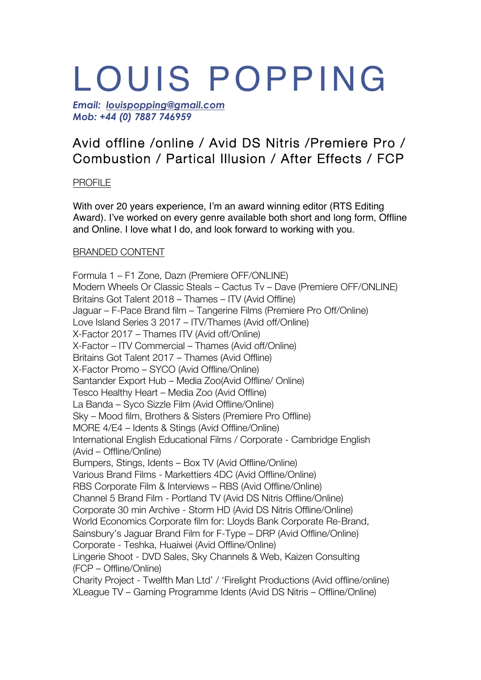# LOUIS POPPING

*Email: louispopping@gmail.com Mob: +44 (0) 7887 746959*

# Avid offline /online / Avid DS Nitris /Premiere Pro / Combustion / Partical Illusion / After Effects / FCP

# PROFILE

With over 20 years experience, I'm an award winning editor (RTS Editing Award). I've worked on every genre available both short and long form, Offline and Online. I love what I do, and look forward to working with you.

# BRANDED CONTENT

Formula 1 – F1 Zone, Dazn (Premiere OFF/ONLINE) Modern Wheels Or Classic Steals – Cactus Tv – Dave (Premiere OFF/ONLINE) Britains Got Talent 2018 – Thames – ITV (Avid Offline) Jaguar – F-Pace Brand film – Tangerine Films (Premiere Pro Off/Online) Love Island Series 3 2017 – ITV/Thames (Avid off/Online) X-Factor 2017 – Thames ITV (Avid off/Online) X-Factor – ITV Commercial – Thames (Avid off/Online) Britains Got Talent 2017 – Thames (Avid Offline) X-Factor Promo – SYCO (Avid Offline/Online) Santander Export Hub – Media Zoo(Avid Offline/ Online) Tesco Healthy Heart – Media Zoo (Avid Offline) La Banda – Syco Sizzle Film (Avid Offline/Online) Sky – Mood film, Brothers & Sisters (Premiere Pro Offline) MORE 4/E4 – Idents & Stings (Avid Offline/Online) International English Educational Films / Corporate - Cambridge English (Avid – Offline/Online) Bumpers, Stings, Idents – Box TV (Avid Offline/Online) Various Brand Films - Markettiers 4DC (Avid Offline/Online) RBS Corporate Film & Interviews – RBS (Avid Offline/Online) Channel 5 Brand Film - Portland TV (Avid DS Nitris Offline/Online) Corporate 30 min Archive - Storm HD (Avid DS Nitris Offline/Online) World Economics Corporate film for: Lloyds Bank Corporate Re-Brand, Sainsbury's Jaguar Brand Film for F-Type – DRP (Avid Offline/Online) Corporate - Teshka, Huaiwei (Avid Offline/Online) Lingerie Shoot - DVD Sales, Sky Channels & Web, Kaizen Consulting (FCP – Offline/Online) Charity Project - Twelfth Man Ltd' / 'Firelight Productions (Avid offline/online) XLeague TV – Gaming Programme Idents (Avid DS Nitris – Offline/Online)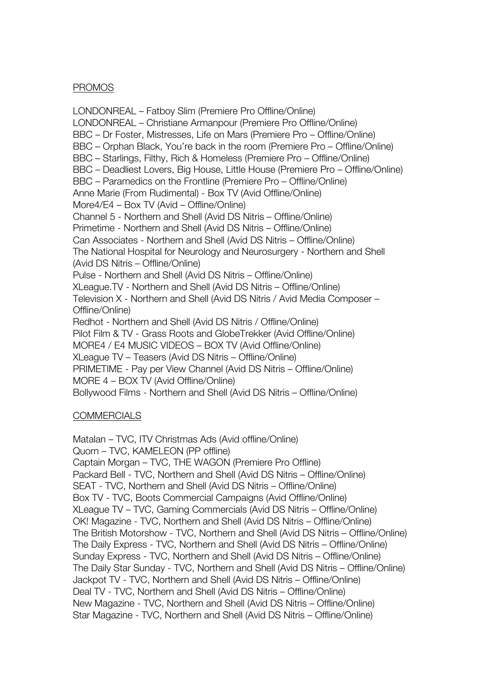#### PROMOS

LONDONREAL – Fatboy Slim (Premiere Pro Offline/Online) LONDONREAL – Christiane Armanpour (Premiere Pro Offline/Online) BBC – Dr Foster, Mistresses, Life on Mars (Premiere Pro – Offline/Online) BBC – Orphan Black, You're back in the room (Premiere Pro – Offline/Online) BBC – Starlings, Filthy, Rich & Homeless (Premiere Pro – Offline/Online) BBC – Deadliest Lovers, Big House, Little House (Premiere Pro – Offline/Online) BBC – Paramedics on the Frontline (Premiere Pro – Offline/Online) Anne Marie (From Rudimental) - Box TV (Avid Offline/Online) More4/E4 – Box TV (Avid – Offline/Online) Channel 5 - Northern and Shell (Avid DS Nitris – Offline/Online) Primetime - Northern and Shell (Avid DS Nitris – Offline/Online) Can Associates - Northern and Shell (Avid DS Nitris – Offline/Online) The National Hospital for Neurology and Neurosurgery - Northern and Shell (Avid DS Nitris – Offline/Online) Pulse - Northern and Shell (Avid DS Nitris – Offline/Online) XLeague.TV - Northern and Shell (Avid DS Nitris – Offline/Online) Television X - Northern and Shell (Avid DS Nitris / Avid Media Composer – Offline/Online) Redhot - Northern and Shell (Avid DS Nitris / Offline/Online) Pilot Film & TV - Grass Roots and GlobeTrekker (Avid Offline/Online) MORE4 / E4 MUSIC VIDEOS – BOX TV (Avid Offline/Online) XLeague TV – Teasers (Avid DS Nitris – Offline/Online) PRIMETIME - Pay per View Channel (Avid DS Nitris – Offline/Online) MORE 4 – BOX TV (Avid Offline/Online) Bollywood Films - Northern and Shell (Avid DS Nitris – Offline/Online)

# **COMMERCIALS**

Matalan – TVC, ITV Christmas Ads (Avid offline/Online) Quorn – TVC, KAMELEON (PP offline) Captain Morgan – TVC, THE WAGON (Premiere Pro Offline) Packard Bell - TVC, Northern and Shell (Avid DS Nitris – Offline/Online) SEAT - TVC, Northern and Shell (Avid DS Nitris – Offline/Online) Box TV - TVC, Boots Commercial Campaigns (Avid Offline/Online) XLeague TV – TVC, Gaming Commercials (Avid DS Nitris – Offline/Online) OK! Magazine - TVC, Northern and Shell (Avid DS Nitris – Offline/Online) The British Motorshow - TVC, Northern and Shell (Avid DS Nitris – Offline/Online) The Daily Express - TVC, Northern and Shell (Avid DS Nitris – Offline/Online) Sunday Express - TVC, Northern and Shell (Avid DS Nitris – Offline/Online) The Daily Star Sunday - TVC, Northern and Shell (Avid DS Nitris – Offline/Online) Jackpot TV - TVC, Northern and Shell (Avid DS Nitris – Offline/Online) Deal TV - TVC, Northern and Shell (Avid DS Nitris – Offline/Online) New Magazine - TVC, Northern and Shell (Avid DS Nitris – Offline/Online) Star Magazine - TVC, Northern and Shell (Avid DS Nitris – Offline/Online)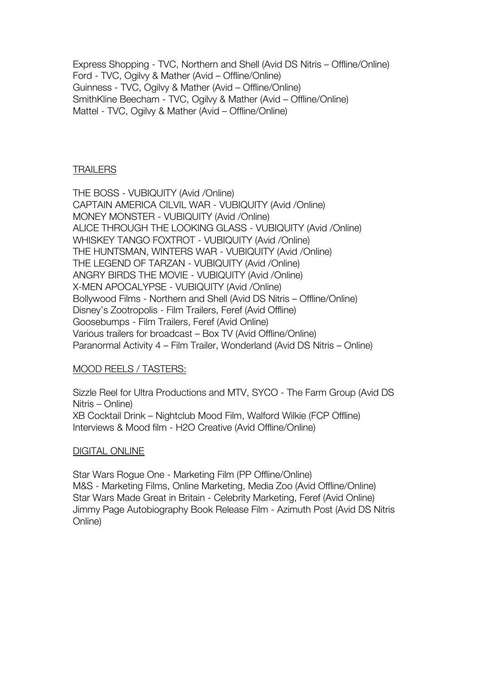Express Shopping - TVC, Northern and Shell (Avid DS Nitris – Offline/Online) Ford - TVC, Ogilvy & Mather (Avid – Offline/Online) Guinness - TVC, Ogilvy & Mather (Avid – Offline/Online) SmithKline Beecham - TVC, Ogilvy & Mather (Avid – Offline/Online) Mattel - TVC, Ogilvy & Mather (Avid – Offline/Online)

#### TRAILERS

THE BOSS - VUBIQUITY (Avid /Online) CAPTAIN AMERICA CILVIL WAR - VUBIQUITY (Avid /Online) MONEY MONSTER - VUBIQUITY (Avid /Online) ALICE THROUGH THE LOOKING GLASS - VUBIQUITY (Avid /Online) WHISKEY TANGO FOXTROT - VUBIQUITY (Avid /Online) THE HUNTSMAN, WINTERS WAR - VUBIQUITY (Avid /Online) THE LEGEND OF TARZAN - VUBIQUITY (Avid /Online) ANGRY BIRDS THE MOVIE - VUBIQUITY (Avid /Online) X-MEN APOCALYPSE - VUBIQUITY (Avid /Online) Bollywood Films - Northern and Shell (Avid DS Nitris – Offline/Online) Disney's Zootropolis - Film Trailers, Feref (Avid Offline) Goosebumps - Film Trailers, Feref (Avid Online) Various trailers for broadcast – Box TV (Avid Offline/Online) Paranormal Activity 4 – Film Trailer, Wonderland (Avid DS Nitris – Online)

#### MOOD REELS / TASTERS:

Sizzle Reel for Ultra Productions and MTV, SYCO - The Farm Group (Avid DS Nitris – Online) XB Cocktail Drink – Nightclub Mood Film, Walford Wilkie (FCP Offline) Interviews & Mood film - H2O Creative (Avid Offline/Online)

#### DIGITAL ONLINE

Star Wars Rogue One - Marketing Film (PP Offline/Online) M&S - Marketing Films, Online Marketing, Media Zoo (Avid Offline/Online) Star Wars Made Great in Britain - Celebrity Marketing, Feref (Avid Online) Jimmy Page Autobiography Book Release Film - Azimuth Post (Avid DS Nitris Online)